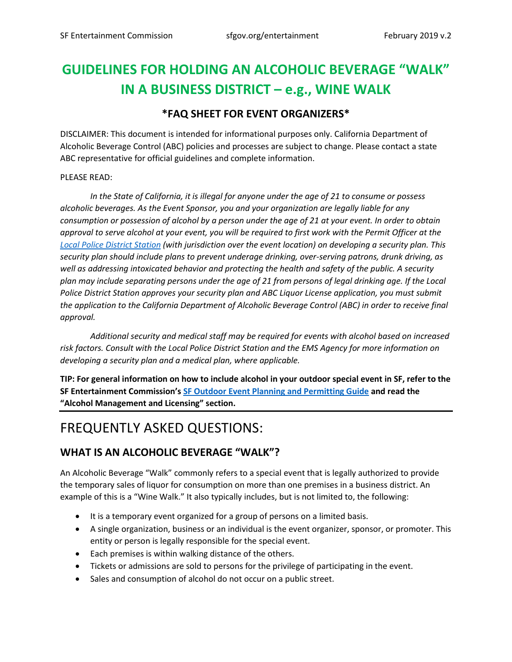# **GUIDELINES FOR HOLDING AN ALCOHOLIC BEVERAGE "WALK" IN A BUSINESS DISTRICT – e.g., WINE WALK**

#### **\*FAQ SHEET FOR EVENT ORGANIZERS\***

DISCLAIMER: This document is intended for informational purposes only. California Department of Alcoholic Beverage Control (ABC) policies and processes are subject to change. Please contact a state ABC representative for official guidelines and complete information.

#### PLEASE READ:

*In the State of California, it is illegal for anyone under the age of 21 to consume or possess alcoholic beverages. As the Event Sponsor, you and your organization are legally liable for any consumption or possession of alcohol by a person under the age of 21 at your event. In order to obtain approval to serve alcohol at your event, you will be required to first work with the Permit Officer at the [Local Police District Station](http://sanfranciscopolice.org/police-district-maps) (with jurisdiction over the event location) on developing a security plan. This security plan should include plans to prevent underage drinking, over-serving patrons, drunk driving, as well as addressing intoxicated behavior and protecting the health and safety of the public. A security plan may include separating persons under the age of 21 from persons of legal drinking age. If the Local Police District Station approves your security plan and ABC Liquor License application, you must submit the application to the California Department of Alcoholic Beverage Control (ABC) in order to receive final approval.* 

*Additional security and medical staff may be required for events with alcohol based on increased risk factors. Consult with the Local Police District Station and the EMS Agency for more information on developing a security plan and a medical plan, where applicable.* 

**TIP: For general information on how to include alcohol in your outdoor special event in SF, refer to the SF Entertainment Commission's [SF Outdoor Event Planning and Permitting Guide](https://sfgov.org/entertainment/sf-outdoor-event-planning-and-permitting-guide) and read the "Alcohol Management and Licensing" section.**

# FREQUENTLY ASKED QUESTIONS:

#### **WHAT IS AN ALCOHOLIC BEVERAGE "WALK"?**

An Alcoholic Beverage "Walk" commonly refers to a special event that is legally authorized to provide the temporary sales of liquor for consumption on more than one premises in a business district. An example of this is a "Wine Walk." It also typically includes, but is not limited to, the following:

- It is a temporary event organized for a group of persons on a limited basis.
- A single organization, business or an individual is the event organizer, sponsor, or promoter. This entity or person is legally responsible for the special event.
- Each premises is within walking distance of the others.
- Tickets or admissions are sold to persons for the privilege of participating in the event.
- Sales and consumption of alcohol do not occur on a public street.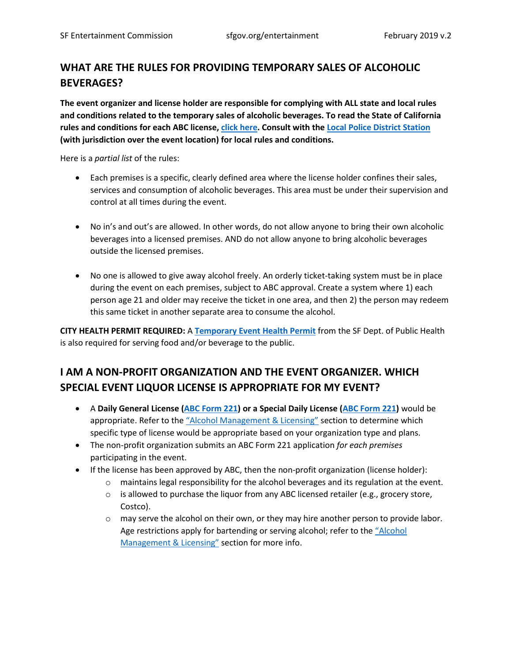### **WHAT ARE THE RULES FOR PROVIDING TEMPORARY SALES OF ALCOHOLIC BEVERAGES?**

**The event organizer and license holder are responsible for complying with ALL state and local rules and conditions related to the temporary sales of alcoholic beverages. To read the State of California rules and conditions for each ABC license[, click here.](https://www.abc.ca.gov/Forms/PDFSpc.html) Consult with the [Local Police District Station](http://sanfranciscopolice.org/police-district-maps) (with jurisdiction over the event location) for local rules and conditions.**

Here is a *partial list* of the rules:

- Each premises is a specific, clearly defined area where the license holder confines their sales, services and consumption of alcoholic beverages. This area must be under their supervision and control at all times during the event.
- No in's and out's are allowed. In other words, do not allow anyone to bring their own alcoholic beverages into a licensed premises. AND do not allow anyone to bring alcoholic beverages outside the licensed premises.
- No one is allowed to give away alcohol freely. An orderly ticket-taking system must be in place during the event on each premises, subject to ABC approval. Create a system where 1) each person age 21 and older may receive the ticket in one area, and then 2) the person may redeem this same ticket in another separate area to consume the alcohol.

**CITY HEALTH PERMIT REQUIRED:** A **[Temporary Event Health Permit](https://www.sfdph.org/dph/eh/food/permits/permitspecevents.asp)** from the SF Dept. of Public Health is also required for serving food and/or beverage to the public.

### **I AM A NON-PROFIT ORGANIZATION AND THE EVENT ORGANIZER. WHICH SPECIAL EVENT LIQUOR LICENSE IS APPROPRIATE FOR MY EVENT?**

- A **Daily General License [\(ABC Form 221\)](https://www.abc.ca.gov/Forms/PDFSpc.html) or a Special Daily License [\(ABC Form 221\)](https://www.abc.ca.gov/Forms/PDFSpc.html)** would be appropriate. Refer to the ["Alcohol Management & Licensing"](https://sfgov.org/entertainment/sf-outdoor-event-planning-and-permitting-guide) section to determine which specific type of license would be appropriate based on your organization type and plans.
- The non-profit organization submits an ABC Form 221 application *for each premises* participating in the event.
- If the license has been approved by ABC, then the non-profit organization (license holder):
	- $\circ$  maintains legal responsibility for the alcohol beverages and its regulation at the event.
	- $\circ$  is allowed to purchase the liquor from any ABC licensed retailer (e.g., grocery store, Costco).
	- $\circ$  may serve the alcohol on their own, or they may hire another person to provide labor. Age restrictions apply for bartending or serving alcohol; refer to the "[Alcohol](https://sfgov.org/entertainment/sf-outdoor-event-planning-and-permitting-guide)  [Management & Licensing"](https://sfgov.org/entertainment/sf-outdoor-event-planning-and-permitting-guide) section for more info.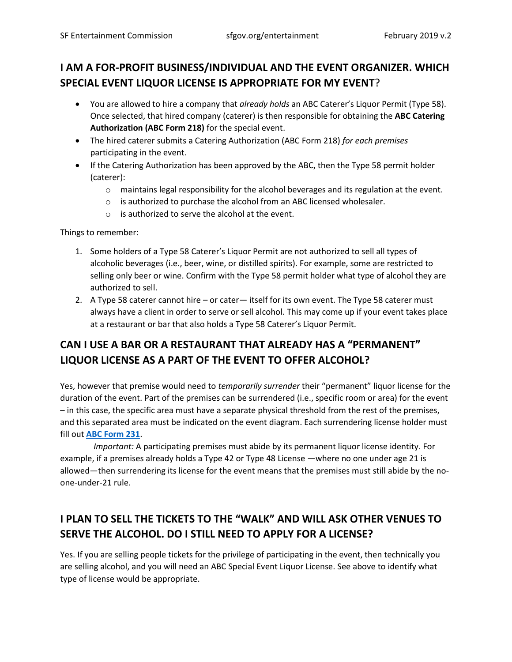## **I AM A FOR-PROFIT BUSINESS/INDIVIDUAL AND THE EVENT ORGANIZER. WHICH SPECIAL EVENT LIQUOR LICENSE IS APPROPRIATE FOR MY EVENT**?

- You are allowed to hire a company that *already holds* an ABC Caterer's Liquor Permit (Type 58). Once selected, that hired company (caterer) is then responsible for obtaining the **ABC Catering Authorization (ABC Form 218)** for the special event.
- The hired caterer submits a Catering Authorization (ABC Form 218) *for each premises* participating in the event.
- If the Catering Authorization has been approved by the ABC, then the Type 58 permit holder (caterer):
	- $\circ$  maintains legal responsibility for the alcohol beverages and its regulation at the event.
	- o is authorized to purchase the alcohol from an ABC licensed wholesaler.
	- o is authorized to serve the alcohol at the event.

Things to remember:

- 1. Some holders of a Type 58 Caterer's Liquor Permit are not authorized to sell all types of alcoholic beverages (i.e., beer, wine, or distilled spirits). For example, some are restricted to selling only beer or wine. Confirm with the Type 58 permit holder what type of alcohol they are authorized to sell.
- 2. A Type 58 caterer cannot hire or cater— itself for its own event. The Type 58 caterer must always have a client in order to serve or sell alcohol. This may come up if your event takes place at a restaurant or bar that also holds a Type 58 Caterer's Liquor Permit.

# **CAN I USE A BAR OR A RESTAURANT THAT ALREADY HAS A "PERMANENT" LIQUOR LICENSE AS A PART OF THE EVENT TO OFFER ALCOHOL?**

Yes, however that premise would need to *temporarily surrender* their "permanent" liquor license for the duration of the event. Part of the premises can be surrendered (i.e., specific room or area) for the event – in this case, the specific area must have a separate physical threshold from the rest of the premises, and this separated area must be indicated on the event diagram. Each surrendering license holder must fill out **[ABC Form 231](https://www.abc.ca.gov/Forms/PDFSpc.html)**.

 *Important:* A participating premises must abide by its permanent liquor license identity. For example, if a premises already holds a Type 42 or Type 48 License —where no one under age 21 is allowed—then surrendering its license for the event means that the premises must still abide by the noone-under-21 rule.

# **I PLAN TO SELL THE TICKETS TO THE "WALK" AND WILL ASK OTHER VENUES TO SERVE THE ALCOHOL. DO I STILL NEED TO APPLY FOR A LICENSE?**

Yes. If you are selling people tickets for the privilege of participating in the event, then technically you are selling alcohol, and you will need an ABC Special Event Liquor License. See above to identify what type of license would be appropriate.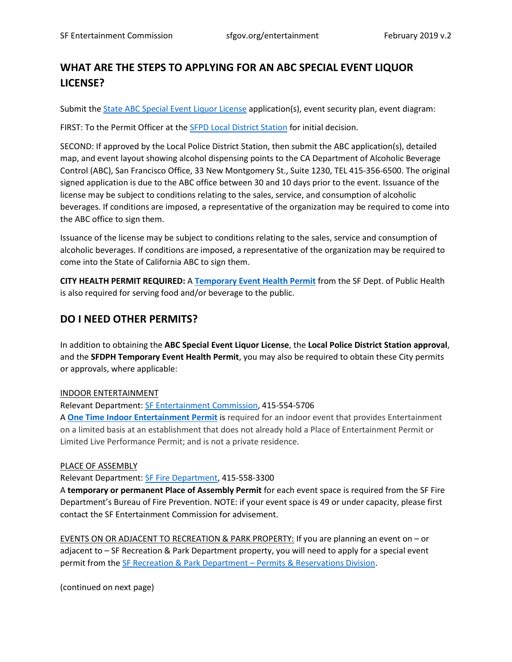### **WHAT ARE THE STEPS TO APPLYING FOR AN ABC SPECIAL EVENT LIQUOR LICENSE?**

Submit th[e State ABC Special Event Liquor License](https://www.abc.ca.gov/Forms/PDFSpc.html) application(s), event security plan, event diagram:

FIRST: To the Permit Officer at the [SFPD Local District Station](http://sanfranciscopolice.org/police-district-maps) for initial decision.

SECOND: If approved by the Local Police District Station, then submit the ABC application(s), detailed map, and event layout showing alcohol dispensing points to the CA Department of Alcoholic Beverage Control (ABC), San Francisco Office, 33 New Montgomery St., Suite 1230, TEL 415-356-6500. The original signed application is due to the ABC office between 30 and 10 days prior to the event. Issuance of the license may be subject to conditions relating to the sales, service, and consumption of alcoholic beverages. If conditions are imposed, a representative of the organization may be required to come into the ABC office to sign them.

Issuance of the license may be subject to conditions relating to the sales, service and consumption of alcoholic beverages. If conditions are imposed, a representative of the organization may be required to come into the State of California ABC to sign them.

**CITY HEALTH PERMIT REQUIRED:** A **[Temporary Event Health Permit](https://www.sfdph.org/dph/eh/food/permits/permitspecevents.asp)** from the SF Dept. of Public Health is also required for serving food and/or beverage to the public.

#### **DO I NEED OTHER PERMITS?**

In addition to obtaining the **ABC Special Event Liquor License**, the **Local Police District Station approval**, and the **SFDPH Temporary Event Health Permit**, you may also be required to obtain these City permits or approvals, where applicable:

#### INDOOR ENTERTAINMENT

Relevant Department[: SF Entertainment Commission,](http://www.sfgov.org/entertainment) 415-554-5706

A **[One Time Indoor Entertainment Permit](https://sfgov.org/entertainment/permit-applications)** is required for an indoor event that provides Entertainment on a limited basis at an establishment that does not already hold a Place of Entertainment Permit or Limited Live Performance Permit; and is not a private residence.

#### PLACE OF ASSEMBLY

Relevant Department[: SF Fire Department,](https://sf-fire.org/division-fire-prevention-and-investigation) 415-558-3300

A **temporary or permanent Place of Assembly Permit** for each event space is required from the SF Fire Department's Bureau of Fire Prevention. NOTE: if your event space is 49 or under capacity, please first contact the SF Entertainment Commission for advisement.

EVENTS ON OR ADJACENT TO RECREATION & PARK PROPERTY: If you are planning an event on – or adjacent to – SF Recreation & Park Department property, you will need to apply for a special event permit from the [SF Recreation & Park Department](https://sfrecpark.org/permits-and-reservations/special-events/) – Permits & Reservations Division.

(continued on next page)